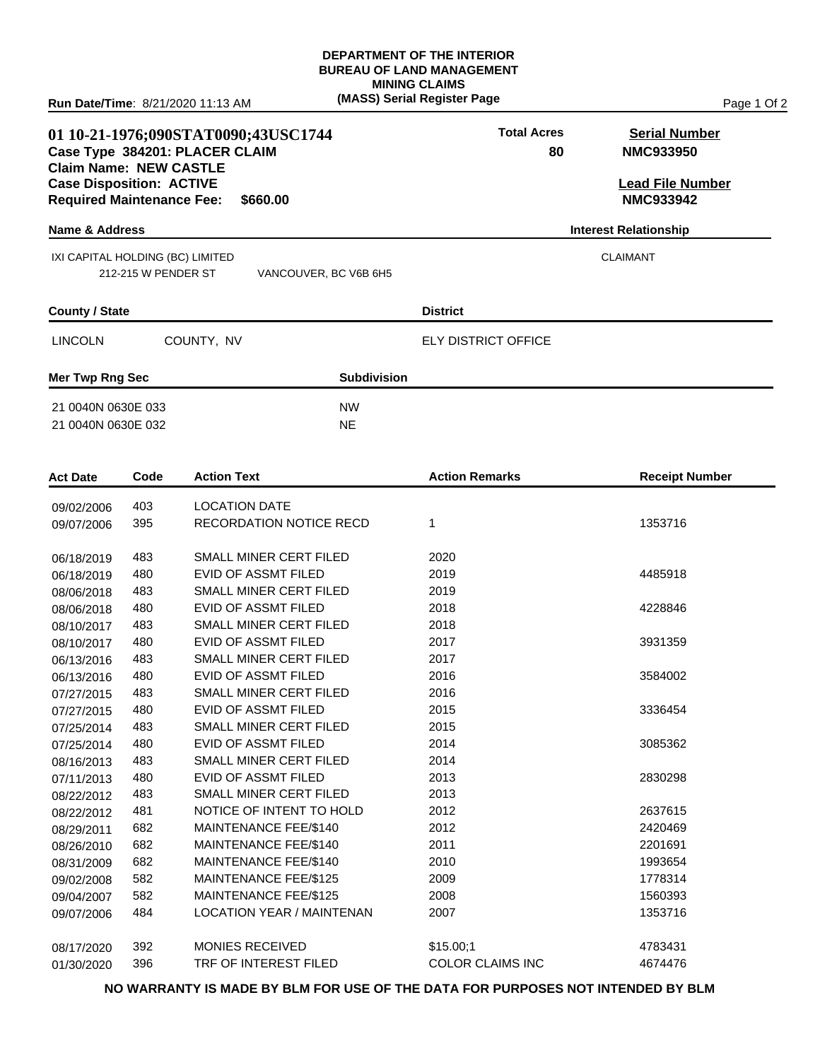### **DEPARTMENT OF THE INTERIOR BUREAU OF LAND MANAGEMENT MINING CLAIMS (MASS) Serial Register Page** Page 1 Of 2

## **01 10-21-1976;090STAT0090;43USC1744 Total Acres Serial Number Case Type 384201: PLACER CLAIM Claim Name: NEW CASTLE Case Disposition: ACTIVE Lead File Number Required Maintenance Fee: \$660.00**

### **Name & Address Interest Relationship**

 IXI CAPITAL HOLDING (BC) LIMITED CLAIMANT 212-215 W PENDER ST VAN

| NCOUVER, BC V6B 6H5 |  |  |
|---------------------|--|--|
|                     |  |  |

### **County / State District**

LINCOLN COUNTY, NV ELY DISTRICT OFFICE

**Mer Twp Rng Sec 32 Subdivision** 

21 0040N 0630E 033 NW 21 0040N 0630E 032 NE

| <b>Act Date</b> | Code | <b>Action Text</b>               | <b>Action Remarks</b>   | <b>Receipt Number</b> |
|-----------------|------|----------------------------------|-------------------------|-----------------------|
| 09/02/2006      | 403  | <b>LOCATION DATE</b>             |                         |                       |
| 09/07/2006      | 395  | <b>RECORDATION NOTICE RECD</b>   | 1                       | 1353716               |
|                 |      |                                  |                         |                       |
| 06/18/2019      | 483  | SMALL MINER CERT FILED           | 2020                    |                       |
| 06/18/2019      | 480  | EVID OF ASSMT FILED              | 2019                    | 4485918               |
| 08/06/2018      | 483  | <b>SMALL MINER CERT FILED</b>    | 2019                    |                       |
| 08/06/2018      | 480  | <b>EVID OF ASSMT FILED</b>       | 2018                    | 4228846               |
| 08/10/2017      | 483  | <b>SMALL MINER CERT FILED</b>    | 2018                    |                       |
| 08/10/2017      | 480  | EVID OF ASSMT FILED              | 2017                    | 3931359               |
| 06/13/2016      | 483  | SMALL MINER CERT FILED           | 2017                    |                       |
| 06/13/2016      | 480  | <b>EVID OF ASSMT FILED</b>       | 2016                    | 3584002               |
| 07/27/2015      | 483  | SMALL MINER CERT FILED           | 2016                    |                       |
| 07/27/2015      | 480  | <b>EVID OF ASSMT FILED</b>       | 2015                    | 3336454               |
| 07/25/2014      | 483  | SMALL MINER CERT FILED           | 2015                    |                       |
| 07/25/2014      | 480  | <b>EVID OF ASSMT FILED</b>       | 2014                    | 3085362               |
| 08/16/2013      | 483  | SMALL MINER CERT FILED           | 2014                    |                       |
| 07/11/2013      | 480  | <b>EVID OF ASSMT FILED</b>       | 2013                    | 2830298               |
| 08/22/2012      | 483  | SMALL MINER CERT FILED           | 2013                    |                       |
| 08/22/2012      | 481  | NOTICE OF INTENT TO HOLD         | 2012                    | 2637615               |
| 08/29/2011      | 682  | MAINTENANCE FEE/\$140            | 2012                    | 2420469               |
| 08/26/2010      | 682  | MAINTENANCE FEE/\$140            | 2011                    | 2201691               |
| 08/31/2009      | 682  | MAINTENANCE FEE/\$140            | 2010                    | 1993654               |
| 09/02/2008      | 582  | MAINTENANCE FEE/\$125            | 2009                    | 1778314               |
| 09/04/2007      | 582  | MAINTENANCE FEE/\$125            | 2008                    | 1560393               |
| 09/07/2006      | 484  | <b>LOCATION YEAR / MAINTENAN</b> | 2007                    | 1353716               |
|                 |      |                                  |                         |                       |
| 08/17/2020      | 392  | <b>MONIES RECEIVED</b>           | \$15.00:1               | 4783431               |
| 01/30/2020      | 396  | TRF OF INTEREST FILED            | <b>COLOR CLAIMS INC</b> | 4674476               |

**NO WARRANTY IS MADE BY BLM FOR USE OF THE DATA FOR PURPOSES NOT INTENDED BY BLM**